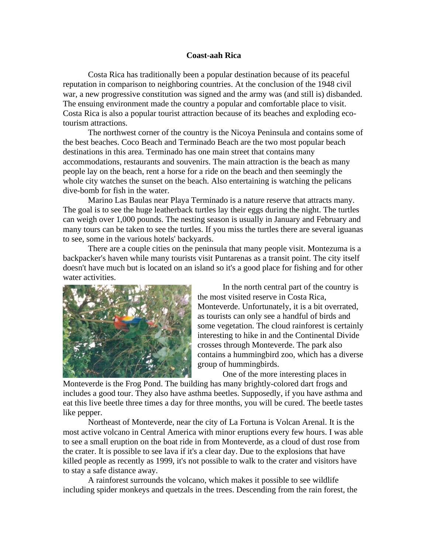## **Coast-aah Rica**

Costa Rica has traditionally been a popular destination because of its peaceful reputation in comparison to neighboring countries. At the conclusion of the 1948 civil war, a new progressive constitution was signed and the army was (and still is) disbanded. The ensuing environment made the country a popular and comfortable place to visit. Costa Rica is also a popular tourist attraction because of its beaches and exploding ecotourism attractions.

The northwest corner of the country is the Nicoya Peninsula and contains some of the best beaches. Coco Beach and Terminado Beach are the two most popular beach destinations in this area. Terminado has one main street that contains many accommodations, restaurants and souvenirs. The main attraction is the beach as many people lay on the beach, rent a horse for a ride on the beach and then seemingly the whole city watches the sunset on the beach. Also entertaining is watching the pelicans dive-bomb for fish in the water.

Marino Las Baulas near Playa Terminado is a nature reserve that attracts many. The goal is to see the huge leatherback turtles lay their eggs during the night. The turtles can weigh over 1,000 pounds. The nesting season is usually in January and February and many tours can be taken to see the turtles. If you miss the turtles there are several iguanas to see, some in the various hotels' backyards.

There are a couple cities on the peninsula that many people visit. Montezuma is a backpacker's haven while many tourists visit Puntarenas as a transit point. The city itself doesn't have much but is located on an island so it's a good place for fishing and for other water activities.



In the north central part of the country is the most visited reserve in Costa Rica, Monteverde. Unfortunately, it is a bit overrated, as tourists can only see a handful of birds and some vegetation. The cloud rainforest is certainly interesting to hike in and the Continental Divide crosses through Monteverde. The park also contains a hummingbird zoo, which has a diverse group of hummingbirds.

One of the more interesting places in

Monteverde is the Frog Pond. The building has many brightly-colored dart frogs and includes a good tour. They also have asthma beetles. Supposedly, if you have asthma and eat this live beetle three times a day for three months, you will be cured. The beetle tastes like pepper.

Northeast of Monteverde, near the city of La Fortuna is Volcan Arenal. It is the most active volcano in Central America with minor eruptions every few hours. I was able to see a small eruption on the boat ride in from Monteverde, as a cloud of dust rose from the crater. It is possible to see lava if it's a clear day. Due to the explosions that have killed people as recently as 1999, it's not possible to walk to the crater and visitors have to stay a safe distance away.

A rainforest surrounds the volcano, which makes it possible to see wildlife including spider monkeys and quetzals in the trees. Descending from the rain forest, the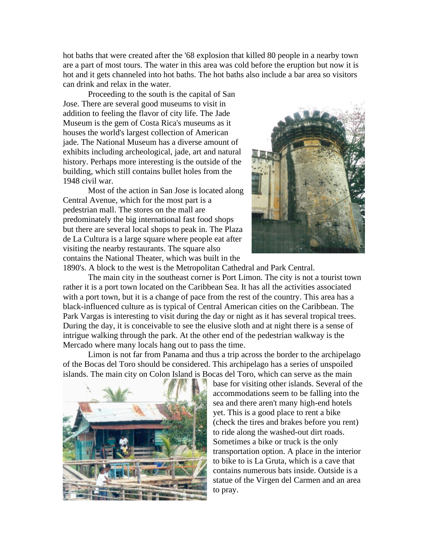hot baths that were created after the '68 explosion that killed 80 people in a nearby town are a part of most tours. The water in this area was cold before the eruption but now it is hot and it gets channeled into hot baths. The hot baths also include a bar area so visitors can drink and relax in the water.

Proceeding to the south is the capital of San Jose. There are several good museums to visit in addition to feeling the flavor of city life. The Jade Museum is the gem of Costa Rica's museums as it houses the world's largest collection of American jade. The National Museum has a diverse amount of exhibits including archeological, jade, art and natural history. Perhaps more interesting is the outside of the building, which still contains bullet holes from the 1948 civil war.

Most of the action in San Jose is located along Central Avenue, which for the most part is a pedestrian mall. The stores on the mall are predominately the big international fast food shops but there are several local shops to peak in. The Plaza de La Cultura is a large square where people eat after visiting the nearby restaurants. The square also contains the National Theater, which was built in the



1890's. A block to the west is the Metropolitan Cathedral and Park Central.

The main city in the southeast corner is Port Limon. The city is not a tourist town rather it is a port town located on the Caribbean Sea. It has all the activities associated with a port town, but it is a change of pace from the rest of the country. This area has a black-influenced culture as is typical of Central American cities on the Caribbean. The Park Vargas is interesting to visit during the day or night as it has several tropical trees. During the day, it is conceivable to see the elusive sloth and at night there is a sense of intrigue walking through the park. At the other end of the pedestrian walkway is the Mercado where many locals hang out to pass the time.

Limon is not far from Panama and thus a trip across the border to the archipelago of the Bocas del Toro should be considered. This archipelago has a series of unspoiled islands. The main city on Colon Island is Bocas del Toro, which can serve as the main



base for visiting other islands. Several of the accommodations seem to be falling into the sea and there aren't many high-end hotels yet. This is a good place to rent a bike (check the tires and brakes before you rent) to ride along the washed-out dirt roads. Sometimes a bike or truck is the only transportation option. A place in the interior to bike to is La Gruta, which is a cave that contains numerous bats inside. Outside is a statue of the Virgen del Carmen and an area to pray.